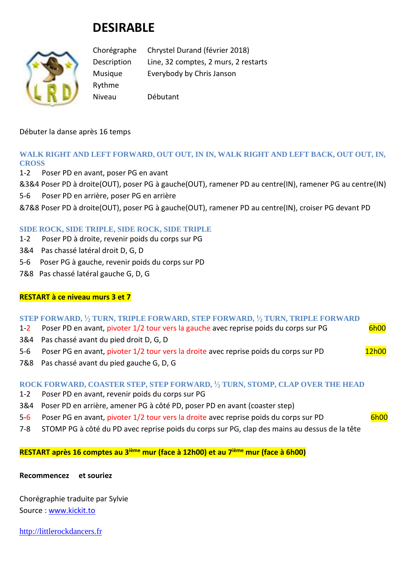# **DESIRABLE**



Chorégraphe Chrystel Durand (février 2018) Description Line, 32 comptes, 2 murs, 2 restarts Musique Everybody by Chris Janson Rythme Niveau Débutant

#### Débuter la danse après 16 temps

## **WALK RIGHT AND LEFT FORWARD, OUT OUT, IN IN, WALK RIGHT AND LEFT BACK, OUT OUT, IN, CROSS**

- 1-2 Poser PD en avant, poser PG en avant
- &3&4 Poser PD à droite(OUT), poser PG à gauche(OUT), ramener PD au centre(IN), ramener PG au centre(IN)
- 5-6 Poser PD en arrière, poser PG en arrière
- &7&8 Poser PD à droite(OUT), poser PG à gauche(OUT), ramener PD au centre(IN), croiser PG devant PD

#### **SIDE ROCK, SIDE TRIPLE, SIDE ROCK, SIDE TRIPLE**

- 1-2 Poser PD à droite, revenir poids du corps sur PG
- 3&4 Pas chassé latéral droit D, G, D
- 5-6 Poser PG à gauche, revenir poids du corps sur PD
- 7&8 Pas chassé latéral gauche G, D, G

#### **RESTART à ce niveau murs 3 et 7**

### **STEP FORWARD, <sup>1</sup> ⁄<sup>2</sup> TURN, TRIPLE FORWARD, STEP FORWARD, <sup>1</sup> ⁄<sup>2</sup> TURN, TRIPLE FORWARD**

- 1-2 Poser PD en avant, pivoter 1/2 tour vers la gauche avec reprise poids du corps sur PG 6h00
- 3&4 Pas chassé avant du pied droit D, G, D
- 5-6 Poser PG en avant, pivoter 1/2 tour vers la droite avec reprise poids du corps sur PD 12h00
- 7&8 Pas chassé avant du pied gauche G, D, G

#### **ROCK FORWARD, COASTER STEP, STEP FORWARD, <sup>1</sup> ⁄<sup>2</sup> TURN, STOMP, CLAP OVER THE HEAD**

- 1-2 Poser PD en avant, revenir poids du corps sur PG
- 3&4 Poser PD en arrière, amener PG à côté PD, poser PD en avant (coaster step)
- 5-6 Poser PG en avant, pivoter 1/2 tour vers la droite avec reprise poids du corps sur PD 6h00
- 7-8 STOMP PG à côté du PD avec reprise poids du corps sur PG, clap des mains au dessus de la tête

## **RESTART après 16 comptes au 3ième mur (face à 12h00) et au 7ième mur (face à 6h00)**

#### **Recommencez et souriez**

Chorégraphie traduite par Sylvie Source : [www.kickit.to](http://www.kickit.to/)

[http://littlerockdancers.fr](http://littlerockdancers.fr/)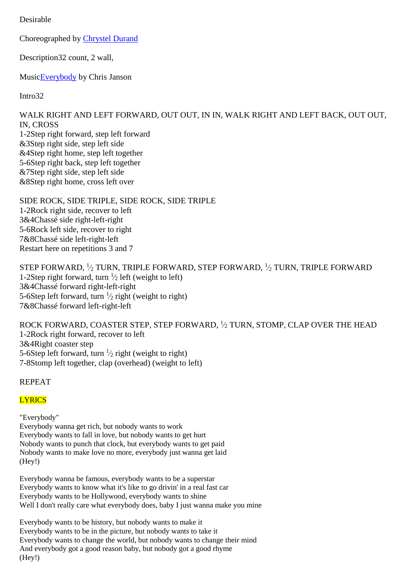Desirable

Choreographed by [Chrystel Durand](http://www.kickit.to/chor)

Description32 count, 2 wall,

Music**Everybody** by Chris Janson

Intro32

WALK RIGHT AND LEFT FORWARD, OUT OUT, IN IN, WALK RIGHT AND LEFT BACK, OUT OUT, IN, CROSS

1-2Step right forward, step left forward &3Step right side, step left side &4Step right home, step left together 5-6Step right back, step left together &7Step right side, step left side &8Step right home, cross left over

SIDE ROCK, SIDE TRIPLE, SIDE ROCK, SIDE TRIPLE 1-2Rock right side, recover to left 3&4Chassé side right-left-right 5-6Rock left side, recover to right 7&8Chassé side left-right-left Restart here on repetitions 3 and 7

STEP FORWARD,  $\frac{1}{2}$  TURN, TRIPLE FORWARD, STEP FORWARD,  $\frac{1}{2}$  TURN, TRIPLE FORWARD 1-2Step right forward, turn  $\frac{1}{2}$  left (weight to left) 3&4Chassé forward right-left-right 5-6Step left forward, turn  $\frac{1}{2}$  right (weight to right) 7&8Chassé forward left-right-left

ROCK FORWARD, COASTER STEP, STEP FORWARD,  $\frac{1}{2}$  TURN, STOMP, CLAP OVER THE HEAD 1-2Rock right forward, recover to left 3&4Right coaster step 5-6Step left forward, turn  $\frac{1}{2}$  right (weight to right) 7-8Stomp left together, clap (overhead) (weight to left)

REPEAT

## **LYRICS**

"Everybody" Everybody wanna get rich, but nobody wants to work Everybody wants to fall in love, but nobody wants to get hurt Nobody wants to punch that clock, but everybody wants to get paid Nobody wants to make love no more, everybody just wanna get laid (Hey!)

Everybody wanna be famous, everybody wants to be a superstar Everybody wants to know what it's like to go drivin' in a real fast car Everybody wants to be Hollywood, everybody wants to shine Well I don't really care what everybody does, baby I just wanna make you mine

Everybody wants to be history, but nobody wants to make it Everybody wants to be in the picture, but nobody wants to take it Everybody wants to change the world, but nobody wants to change their mind And everybody got a good reason baby, but nobody got a good rhyme (Hey!)